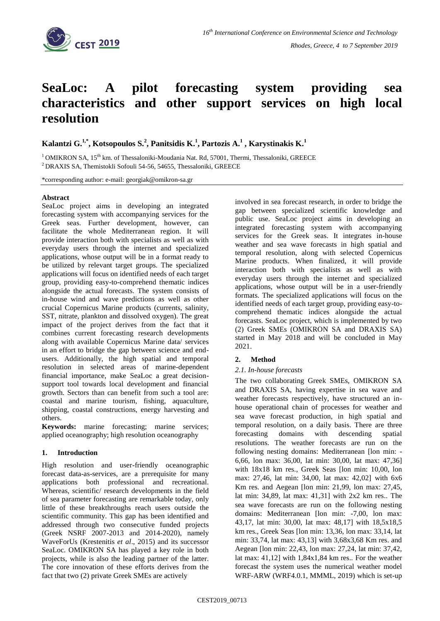

# **SeaLoc: A pilot forecasting system providing sea characteristics and other support services on high local resolution**

**Kalantzi G.1,\* , Kotsopoulos S.<sup>2</sup> , Panitsidis K. 1 , Partozis A.<sup>1</sup> , Karystinakis K.<sup>1</sup>**

 $1$ OMIKRON SA, 15<sup>th</sup> km. of Thessaloniki-Moudania Nat. Rd, 57001, Thermi, Thessaloniki, GREECE <sup>2</sup> DRAXIS SA, Themistokli Sofouli 54-56, 54655, Thessaloniki, GREECE

\*corresponding author: e-mail: georgiak@omikron-sa.gr

## **Abstract**

SeaLoc project aims in developing an integrated forecasting system with accompanying services for the Greek seas. Further development, however, can facilitate the whole Mediterranean region. It will provide interaction both with specialists as well as with everyday users through the internet and specialized applications, whose output will be in a format ready to be utilized by relevant target groups. The specialized applications will focus on identified needs of each target group, providing easy-to-comprehend thematic indices alongside the actual forecasts. The system consists of in-house wind and wave predictions as well as other crucial Copernicus Marine products (currents, salinity, SST, nitrate, plankton and dissolved oxygen). The great impact of the project derives from the fact that it combines current forecasting research developments along with available Copernicus Marine data/ services in an effort to bridge the gap between science and endusers. Additionally, the high spatial and temporal resolution in selected areas of marine-dependent financial importance, make SeaLoc a great decisionsupport tool towards local development and financial growth. Sectors than can benefit from such a tool are: coastal and marine tourism, fishing, aquaculture, shipping, coastal constructions, energy harvesting and others.

**Keywords:** marine forecasting; marine services; applied oceanography; high resolution oceanography

# **1. Introduction**

High resolution and user-friendly oceanographic forecast data-as-services, are a prerequisite for many applications both professional and recreational. Whereas, scientific/ research developments in the field of sea parameter forecasting are remarkable today, only little of these breakthroughs reach users outside the scientific community. This gap has been identified and addressed through two consecutive funded projects (Greek NSRF 2007-2013 and 2014-2020), namely WaveForUs (Krestenitis *et al*., 2015) and its successor SeaLoc. OMIKRON SA has played a key role in both projects, while is also the leading partner of the latter. The core innovation of these efforts derives from the fact that two (2) private Greek SMEs are actively

involved in sea forecast research, in order to bridge the gap between specialized scientific knowledge and public use. SeaLoc project aims in developing an integrated forecasting system with accompanying services for the Greek seas. It integrates in-house weather and sea wave forecasts in high spatial and temporal resolution, along with selected Copernicus Marine products. When finalized, it will provide interaction both with specialists as well as with everyday users through the internet and specialized applications, whose output will be in a user-friendly formats. The specialized applications will focus on the identified needs of each target group, providing easy-tocomprehend thematic indices alongside the actual forecasts. SeaLoc project, which is implemented by two (2) Greek SMEs (OMIKRON SA and DRAXIS SA) started in May 2018 and will be concluded in May 2021.

# **2. Method**

#### *2.1. In-house forecasts*

The two collaborating Greek SMEs, OMIKRON SA and DRAXIS SA, having expertise in sea wave and weather forecasts respectively, have structured an inhouse operational chain of processes for weather and sea wave forecast production, in high spatial and temporal resolution, on a daily basis. There are three forecasting domains with descending spatial resolutions. The weather forecasts are run on the following nesting domains: Mediterranean [lon min: - 6,66, lon max: 36,00, lat min: 30,00, lat max: 47,36] with 18x18 km res., Greek Seas [lon min: 10,00, lon max: 27,46, lat min: 34,00, lat max: 42,02] with 6x6 Km res. and Aegean [lon min: 21,99, lon max: 27,45, lat min: 34,89, lat max: 41,31] with 2x2 km res.. The sea wave forecasts are run on the following nesting domains: Mediterranean [lon min: -7,00, lon max: 43,17, lat min: 30,00, lat max: 48,17] with 18,5x18,5 km res., Greek Seas [lon min: 13,36, lon max: 33,14, lat min: 33,74, lat max: 43,13] with 3,68x3,68 Km res. and Aegean [lon min: 22,43, lon max: 27,24, lat min: 37,42, lat max: 41,12] with 1,84x1,84 km res.. For the weather forecast the system uses the numerical weather model WRF-ARW (WRF4.0.1, MMML, 2019) which is set-up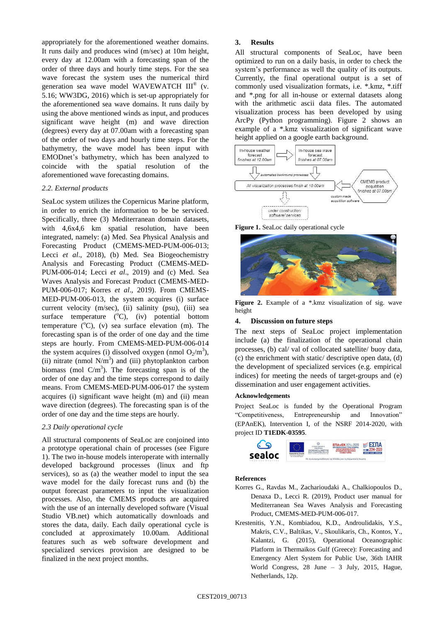appropriately for the aforementioned weather domains. It runs daily and produces wind (m/sec) at 10m height, every day at 12.00am with a forecasting span of the order of three days and hourly time steps. For the sea wave forecast the system uses the numerical third generation sea wave model WAVEWATCH III® (v. 5.16; WW3DG, 2016) which is set-up appropriately for the aforementioned sea wave domains. It runs daily by using the above mentioned winds as input, and produces significant wave height (m) and wave direction (degrees) every day at 07.00am with a forecasting span of the order of two days and hourly time steps. For the bathymetry, the wave model has been input with EMODnet's bathymetry, which has been analyzed to coincide with the spatial resolution of the aforementioned wave forecasting domains.

# *2.2. External products*

SeaLoc system utilizes the Copernicus Marine platform, in order to enrich the information to be be serviced. Specifically, three (3) Mediterranean domain datasets, with 4,6x4,6 km spatial resolution, have been integrated, namely: (a) Med. Sea Physical Analysis and Forecasting Product (CMEMS-MED-PUM-006-013; Lecci *et al*., 2018), (b) Med. Sea Biogeochemistry Analysis and Forecasting Product (CMEMS-MED-PUM-006-014; Lecci *et al*., 2019) and (c) Med. Sea Waves Analysis and Forecast Product (CMEMS-MED-PUM-006-017; Korres *et al*., 2019). From CMEMS-MED-PUM-006-013, the system acquires (i) surface current velocity (m/sec), (ii) salinity (psu), (iii) sea surface temperature  $(^{\circ}C)$ ,  $(iv)$  potential bottom temperature  $(^{\circ}C)$ ,  $(v)$  sea surface elevation  $(m)$ . The forecasting span is of the order of one day and the time steps are hourly. From CMEMS-MED-PUM-006-014 the system acquires (i) dissolved oxygen (nmol  $O_2/m^3$ ), (ii) nitrate (nmol  $N/m<sup>3</sup>$ ) and (iii) phytoplankton carbon biomass (mol  $C/m<sup>3</sup>$ ). The forecasting span is of the order of one day and the time steps correspond to daily means. From CMEMS-MED-PUM-006-017 the system acquires (i) significant wave height (m) and (ii) mean wave direction (degrees). The forecasting span is of the order of one day and the time steps are hourly.

# *2.3 Daily operational cycle*

All structural components of SeaLoc are conjoined into a prototype operational chain of processes (see Figure 1). The two in-house models interoperate with internally developed background processes (linux and ftp services), so as (a) the weather model to input the sea wave model for the daily forecast runs and (b) the output forecast parameters to input the visualization processes. Also, the CMEMS products are acquired with the use of an internally developed software (Visual Studio VB.net) which automatically downloads and stores the data, daily. Each daily operational cycle is concluded at approximately 10.00am. Additional features such as web software development and specialized services provision are designed to be finalized in the next project months.

## **3. Results**

All structural components of SeaLoc, have been optimized to run on a daily basis, in order to check the system's performance as well the quality of its outputs. Currently, the final operational output is a set of commonly used visualization formats, i.e. \*.kmz, \*.tiff and \*.png for all in-house or external datasets along with the arithmetic ascii data files. The automated visualization process has been developed by using ArcPy (Python programming). Figure 2 shows an example of a \*.kmz visualization of significant wave height applied on a google earth background.



**Figure 1.** SeaLoc daily operational cycle



Figure 2. Example of a \*.kmz visualization of sig. wave height

## **4. Discussion on future steps**

The next steps of SeaLoc project implementation include (a) the finalization of the operational chain processes, (b) cal/ val of collocated satellite/ buoy data, (c) the enrichment with static/ descriptive open data, (d) the development of specialized services (e.g. empirical indices) for meeting the needs of target-groups and (e) dissemination and user engagement activities.

#### **Acknowledgements**

Project SeaLoc is funded by the Operational Program "Competitiveness, Entrepreneurship and Innovation" (EPAnEK), Intervention I, of the NSRF 2014-2020, with project ID **T1EDK-03595**.



#### **References**

- Korres G., Ravdas M., Zacharioudaki A., Chalkiopoulos D., Denaxa D., Lecci R. (2019), Product user manual for Mediterranean Sea Waves Analysis and Forecasting Product, CMEMS-MED-PUM-006-017.
- Krestenitis, Y.N., Kombiadou, K.D., Androulidakis, Y.S., Makris, C.V., Baltikas, V., Skoulikaris, Ch., Kontos, Y., Kalantzi, G. (2015), Operational Oceanographic Platform in Thermaikos Gulf (Greece): Forecasting and Emergency Alert System for Public Use, 36th IAHR World Congress, 28 June – 3 July, 2015, Hague, Netherlands, 12p.